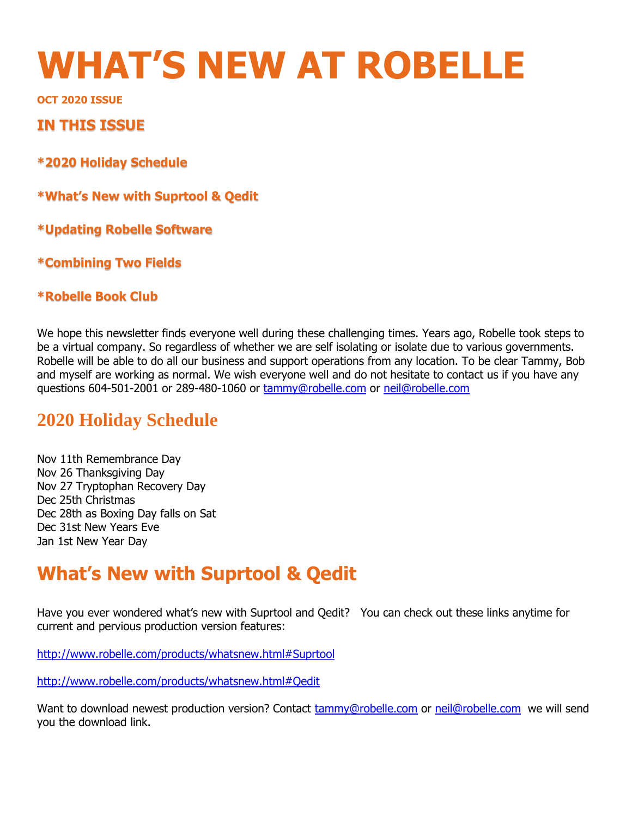# **WHAT'S NEW AT ROBELLE**

**OCT 2020 ISSUE** 

### **IN THIS ISSUE**

**\*2020 Holiday Schedule**

**\*What's New with Suprtool & Qedit** 

**\*Updating Robelle Software** 

**\*Combining Two Fields** 

### **\*Robelle Book Club**

We hope this newsletter finds everyone well during these challenging times. Years ago, Robelle took steps to be a virtual company. So regardless of whether we are self isolating or isolate due to various governments. Robelle will be able to do all our business and support operations from any location. To be clear Tammy, Bob and myself are working as normal. We wish everyone well and do not hesitate to contact us if you have any questions 604-501-2001 or 289-480-1060 or [tammy@robelle.com](mailto:tammy@robelle.com) or [neil@robelle.com](mailto:neil@robelle.com)

### **2020 Holiday Schedule**

Nov 11th Remembrance Day Nov 26 Thanksgiving Day Nov 27 Tryptophan Recovery Day Dec 25th Christmas Dec 28th as Boxing Day falls on Sat Dec 31st New Years Eve Jan 1st New Year Day

# **What's New with Suprtool & Qedit**

Have you ever wondered what's new with Suprtool and Qedit? You can check out these links anytime for current and pervious production version features:

<http://www.robelle.com/products/whatsnew.html#Suprtool>

<http://www.robelle.com/products/whatsnew.html#Qedit>

Want to download newest production version? Contact **tammy@robelle.com** or [neil@robelle.com](mailto:neil@robelle.com) we will send you the download link.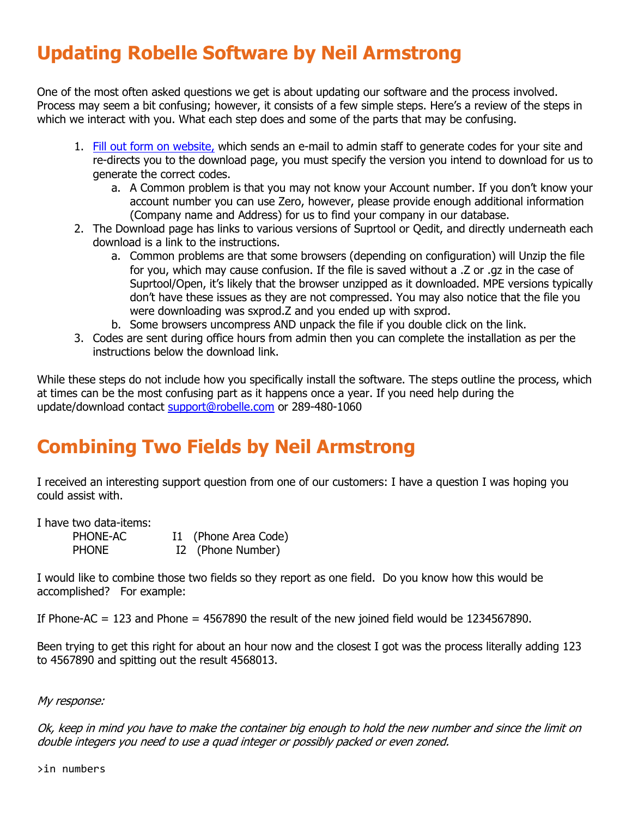# **Updating Robelle Software by Neil Armstrong**

One of the most often asked questions we get is about updating our software and the process involved. Process may seem a bit confusing; however, it consists of a few simple steps. Here's a review of the steps in which we interact with you. What each step does and some of the parts that may be confusing.

- 1. [Fill out form on website,](http://www.robelle.com/forms/request-prod-release.php) which sends an e-mail to admin staff to generate codes for your site and re-directs you to the download page, you must specify the version you intend to download for us to generate the correct codes.
	- a. A Common problem is that you may not know your Account number. If you don't know your account number you can use Zero, however, please provide enough additional information (Company name and Address) for us to find your company in our database.
- 2. The Download page has links to various versions of Suprtool or Qedit, and directly underneath each download is a link to the instructions.
	- a. Common problems are that some browsers (depending on configuration) will Unzip the file for you, which may cause confusion. If the file is saved without a .Z or .gz in the case of Suprtool/Open, it's likely that the browser unzipped as it downloaded. MPE versions typically don't have these issues as they are not compressed. You may also notice that the file you were downloading was sxprod.Z and you ended up with sxprod.
	- b. Some browsers uncompress AND unpack the file if you double click on the link.
- 3. Codes are sent during office hours from admin then you can complete the installation as per the instructions below the download link.

While these steps do not include how you specifically install the software. The steps outline the process, which at times can be the most confusing part as it happens once a year. If you need help during the update/download contact [support@robelle.com](mailto:support@robelle.com) or 289-480-1060

# **Combining Two Fields by Neil Armstrong**

I received an interesting support question from one of our customers: I have a question I was hoping you could assist with.

I have two data-items:

| PHONE-AC     | I1 (Phone Area Code) |
|--------------|----------------------|
| <b>PHONE</b> | I2 (Phone Number)    |

I would like to combine those two fields so they report as one field. Do you know how this would be accomplished? For example:

If Phone-AC  $= 123$  and Phone  $= 4567890$  the result of the new joined field would be 1234567890.

Been trying to get this right for about an hour now and the closest I got was the process literally adding 123 to 4567890 and spitting out the result 4568013.

### My response:

Ok, keep in mind you have to make the container big enough to hold the new number and since the limit on double integers you need to use a quad integer or possibly packed or even zoned.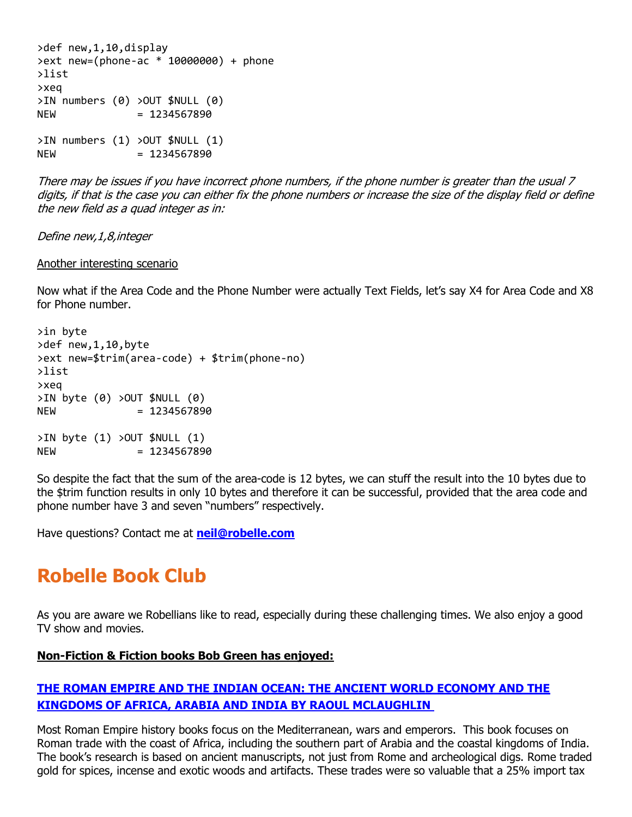```
>def new,1,10,display
>ext new=(phone-ac * 10000000) + phone
>list
>xeq
>IN numbers (0) >OUT $NULL (0)
NEW = 1234567890
>IN numbers (1) >OUT $NULL (1)
NEW = 1234567890
```
There may be issues if you have incorrect phone numbers, if the phone number is greater than the usual 7 digits, if that is the case you can either fix the phone numbers or increase the size of the display field or define the new field as a quad integer as in:

Define new,1,8,integer

#### Another interesting scenario

Now what if the Area Code and the Phone Number were actually Text Fields, let's say X4 for Area Code and X8 for Phone number.

```
>in byte
>def new,1,10,byte
>ext new=$trim(area-code) + $trim(phone-no)
>list
>xeq
>IN byte (0) >OUT $NULL (0)
NEW = 1234567890
>IN byte (1) >OUT $NULL (1)
NEW = 1234567890
```
So despite the fact that the sum of the area-code is 12 bytes, we can stuff the result into the 10 bytes due to the \$trim function results in only 10 bytes and therefore it can be successful, provided that the area code and phone number have 3 and seven "numbers" respectively.

Have questions? Contact me at **[neil@robelle.com](mailto:neil@robelle.com)**

# **Robelle Book Club**

As you are aware we Robellians like to read, especially during these challenging times. We also enjoy a good TV show and movies.

### **Non-Fiction & Fiction books Bob Green has enjoyed:**

### **[THE ROMAN EMPIRE AND THE INDIAN OCEAN: THE ANCIENT WORLD ECONOMY AND THE](https://www.amazon.com/Roman-Empire-Indian-Ocean-Kingdoms-ebook/dp/B00OZ3HWM2/ref=sr_1_1?dchild=1&keywords=The+roman+Empire+and+the+Indian+ocean&qid=1602766544&sr=8-1)  [KINGDOMS OF AFRICA, ARABIA AND INDIA BY RAOUL MCLAUGHLIN](https://www.amazon.com/Roman-Empire-Indian-Ocean-Kingdoms-ebook/dp/B00OZ3HWM2/ref=sr_1_1?dchild=1&keywords=The+roman+Empire+and+the+Indian+ocean&qid=1602766544&sr=8-1)**

Most Roman Empire history books focus on the Mediterranean, wars and emperors. This book focuses on Roman trade with the coast of Africa, including the southern part of Arabia and the coastal kingdoms of India. The book's research is based on ancient manuscripts, not just from Rome and archeological digs. Rome traded gold for spices, incense and exotic woods and artifacts. These trades were so valuable that a 25% import tax